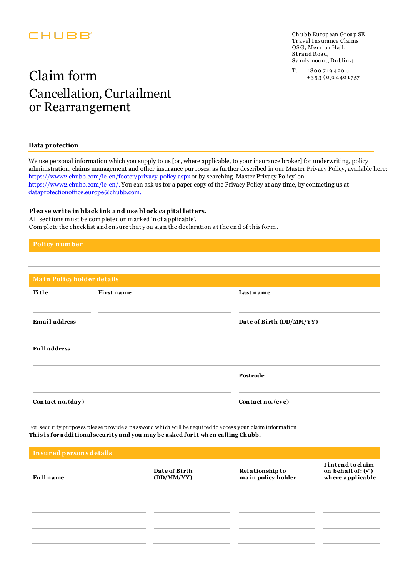### CHUBB

Ch ubb European Group SE Tr avel Insurance Claims OSG, Merrion Hall, Strand Road, S a ndymou nt, Du blin 4

## $\text{Claim form} \qquad \text{or} \qquad \text{``} \qquad \text{``} \qquad \text{``} \qquad \text{``} \qquad \text{``} \qquad \text{``} \qquad \text{``} \qquad \text{``} \qquad \text{``} \qquad \text{``} \qquad \text{``} \qquad \text{``} \qquad \text{``} \qquad \text{``} \qquad \text{``} \qquad \text{``} \qquad \text{``} \qquad \text{``} \qquad \text{``} \qquad \text{``} \qquad \text{``} \qquad \text{``} \qquad \text{``} \qquad \text{``} \qquad \text{``} \qquad \text{$ Cancellation, Curtailment or Rearrangement

#### **Data protection**

We use personal information which you supply to us [or, where applicable, to your insurance broker] for underwriting, policy administration, claims management and other insurance purposes, as further described in our Master Privacy Policy, available here: https://www2.chubb.com/ie-en/footer/privacy-policy.aspx or by searching 'Master Privacy Policy' on https://www2.chubb.com/ie-en/. You can ask us for a paper copy of the Privacy Policy at any time, by contacting us at dataprotectionoffice.europe@chubb.com.

#### **Plea se write in black ink a nd use block ca pital letters.**

A ll sections must be completed or marked 'n ot a pplicable'. Com plete the checklist a nd en sure that y ou sig n the declaration a t the en d of th is for m.

| Main Policyholder details |            |                          |
|---------------------------|------------|--------------------------|
| Title                     | First name | Last name                |
| <b>Email address</b>      |            | Date of Birth (DD/MM/YY) |
| <b>Full address</b>       |            |                          |
|                           |            | Postcode                 |
| Contact no. (day)         |            | Contact no. (eve)        |

For secu rity purposes please provide a password which will be requ ired to access your claim information This is for additional security and you may be asked for it when calling Chubb.

| Insured persons details |                             |                                              |                                                                       |  |  |  |  |
|-------------------------|-----------------------------|----------------------------------------------|-----------------------------------------------------------------------|--|--|--|--|
| <b>Full</b> name        | Date of Birth<br>(DD/MM/YY) | <b>Relationship to</b><br>main policy holder | I intend to claim<br>on behalf of: $(\checkmark)$<br>where applicable |  |  |  |  |
|                         |                             |                                              |                                                                       |  |  |  |  |
|                         |                             |                                              |                                                                       |  |  |  |  |
|                         |                             |                                              |                                                                       |  |  |  |  |
|                         |                             |                                              |                                                                       |  |  |  |  |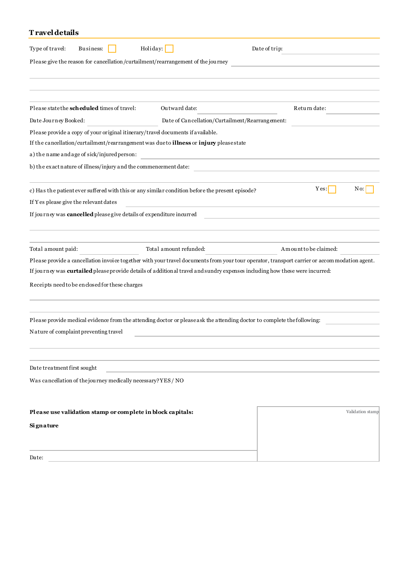### **T ravel details**

| Type of travel:<br>Business:                                                            | Holiday:                                                                                                                    | Date of trip:                                                                                                                                 |
|-----------------------------------------------------------------------------------------|-----------------------------------------------------------------------------------------------------------------------------|-----------------------------------------------------------------------------------------------------------------------------------------------|
| Please give the reason for cancellation/curtailment/rearrangement of the journey        |                                                                                                                             |                                                                                                                                               |
|                                                                                         |                                                                                                                             |                                                                                                                                               |
|                                                                                         |                                                                                                                             |                                                                                                                                               |
| Please state the scheduled times of travel:                                             | Outward date:                                                                                                               | Return date:                                                                                                                                  |
| Date Journey Booked:                                                                    | Date of Cancellation/Curtailment/Rearrangement:                                                                             |                                                                                                                                               |
| Please provide a copy of your original itinerary/travel documents if available.         |                                                                                                                             |                                                                                                                                               |
| If the cancellation/curtailment/rearrangement was due to illness or injury please state |                                                                                                                             |                                                                                                                                               |
| a) the name and age of sick/injured person:                                             |                                                                                                                             |                                                                                                                                               |
| b) the exact nature of illness/injury and the commencement date:                        |                                                                                                                             | and the control of the control of the                                                                                                         |
|                                                                                         | c) Has the patient ever suffered with this or any similar condition before the present episode?                             | Yes:<br>No:                                                                                                                                   |
| If Y es please give the relevant dates                                                  |                                                                                                                             |                                                                                                                                               |
| If journey was cancelled please give details of expenditure incurred                    |                                                                                                                             |                                                                                                                                               |
|                                                                                         |                                                                                                                             |                                                                                                                                               |
|                                                                                         |                                                                                                                             |                                                                                                                                               |
| Total amount paid:                                                                      | Total amount refunded:                                                                                                      | Amount to be claimed:                                                                                                                         |
|                                                                                         |                                                                                                                             | Please provide a cancellation invoice together with your travel documents from your tour operator, transport carrier or accom modation agent. |
|                                                                                         | If journey was curtailed please provide details of additional travel and sundry expenses including how these were incurred: |                                                                                                                                               |
| Receipts need to be enclosed for these charges                                          |                                                                                                                             |                                                                                                                                               |
|                                                                                         |                                                                                                                             |                                                                                                                                               |
|                                                                                         | Please provide medical evidence from the attending doctor or please ask the attending doctor to complete the following:     |                                                                                                                                               |
| Nature of complaint preventing travel                                                   |                                                                                                                             |                                                                                                                                               |
|                                                                                         |                                                                                                                             |                                                                                                                                               |
| Date treatment first sought                                                             |                                                                                                                             |                                                                                                                                               |
| Was cancellation of the journey medically necessary? YES / NO                           |                                                                                                                             |                                                                                                                                               |
|                                                                                         |                                                                                                                             |                                                                                                                                               |
| Please use validation stamp or complete in block capitals:                              |                                                                                                                             | Validation stamp                                                                                                                              |
| Signature                                                                               |                                                                                                                             |                                                                                                                                               |
|                                                                                         |                                                                                                                             |                                                                                                                                               |
|                                                                                         |                                                                                                                             |                                                                                                                                               |

Date: